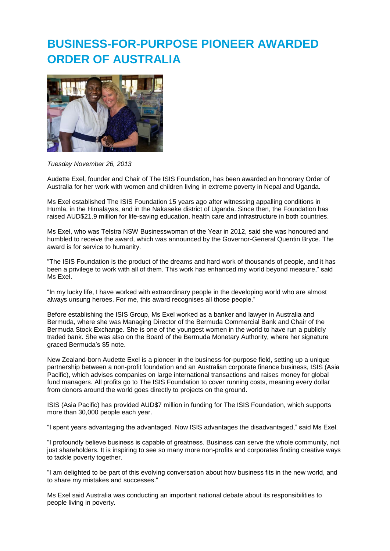## **BUSINESS-FOR-PURPOSE PIONEER AWARDED ORDER OF AUSTRALIA**



*Tuesday November 26, 2013*

Audette Exel, founder and Chair of The ISIS Foundation, has been awarded an honorary Order of Australia for her work with women and children living in extreme poverty in Nepal and Uganda.

Ms Exel established The ISIS Foundation 15 years ago after witnessing appalling conditions in Humla, in the Himalayas, and in the Nakaseke district of Uganda. Since then, the Foundation has raised AUD\$21.9 million for life-saving education, health care and infrastructure in both countries.

Ms Exel, who was Telstra NSW Businesswoman of the Year in 2012, said she was honoured and humbled to receive the award, which was announced by the Governor-General Quentin Bryce. The award is for service to humanity.

"The ISIS Foundation is the product of the dreams and hard work of thousands of people, and it has been a privilege to work with all of them. This work has enhanced my world beyond measure," said Ms Exel.

"In my lucky life, I have worked with extraordinary people in the developing world who are almost always unsung heroes. For me, this award recognises all those people."

Before establishing the ISIS Group, Ms Exel worked as a banker and lawyer in Australia and Bermuda, where she was Managing Director of the Bermuda Commercial Bank and Chair of the Bermuda Stock Exchange. She is one of the youngest women in the world to have run a publicly traded bank. She was also on the Board of the Bermuda Monetary Authority, where her signature graced Bermuda's \$5 note.

New Zealand-born Audette Exel is a pioneer in the business-for-purpose field, setting up a unique partnership between a non-profit foundation and an Australian corporate finance business, ISIS (Asia Pacific), which advises companies on large international transactions and raises money for global fund managers. All profits go to The ISIS Foundation to cover running costs, meaning every dollar from donors around the world goes directly to projects on the ground.

ISIS (Asia Pacific) has provided AUD\$7 million in funding for The ISIS Foundation, which supports more than 30,000 people each year.

"I spent years advantaging the advantaged. Now ISIS advantages the disadvantaged," said Ms Exel.

"I profoundly believe business is capable of greatness. Business can serve the whole community, not just shareholders. It is inspiring to see so many more non-profits and corporates finding creative ways to tackle poverty together.

"I am delighted to be part of this evolving conversation about how business fits in the new world, and to share my mistakes and successes."

Ms Exel said Australia was conducting an important national debate about its responsibilities to people living in poverty.